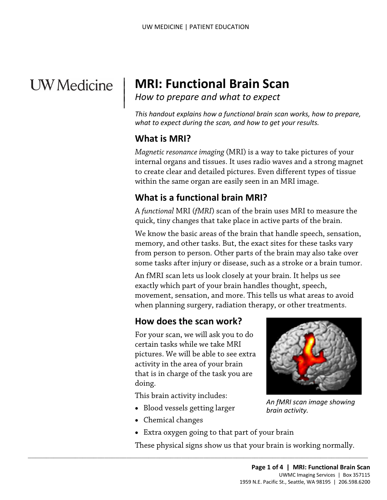# **UW** Medicine

## | **MRI: Functional Brain Scan**

<sup>|</sup>*How to prepare and what to expect* <sup>|</sup>

 *This handout explains how a functional brain scan works, how to prepare, what to expect during the scan, and how to get your results.* 

## **What is MRI?**

 $\overline{\phantom{a}}$ 

 internal organs and tissues. It uses radio waves and a strong magnet *Magnetic resonance imaging* (MRI) is a way to take pictures of your to create clear and detailed pictures. Even different types of tissue within the same organ are easily seen in an MRI image.

## **What is a functional brain MRI?**

 A *functional* MRI (*fMRI*) scan of the brain uses MRI to measure the quick, tiny changes that take place in active parts of the brain.

 We know the basic areas of the brain that handle speech, sensation, memory, and other tasks. But, the exact sites for these tasks vary within the same organ are easily seen in an MRI image.<br> **What is a functional brain MRI?**<br>
A *functional* MRI (*fMRI*) scan of the brain uses MRI to measure t<br>
quick, tiny changes that take place in active parts of the bra from person to person. Other parts of the brain may also take over some tasks after injury or disease, such as a [stroke](javascript:glossAry() or a brain tumor.

> An fMRI scan lets [us](javascript:glossAry() look closely at your brain. It helps us see exactly which part of your brain handles thought, speech, movement, sensation, and more. This tells us what areas to avoid when planning surgery, [radiation therapy,](javascript:glossAry() or other treatments.

## **How does the scan work?**

 For your scan, we will ask you to do certain tasks while we take MRI activity in the area of your brain that is in charge of the task you are pictures. We will be able to see extra doing.

This brain activity includes:

- Blood vessels getting larger
- Chemical changes
- Extra oxygen going to that part of your brain

 $\_$  , and the set of the set of the set of the set of the set of the set of the set of the set of the set of the set of the set of the set of the set of the set of the set of the set of the set of the set of the set of th

These physical signs show us that your brain is working normally.



 *An fMRI scan image showing brain activity.*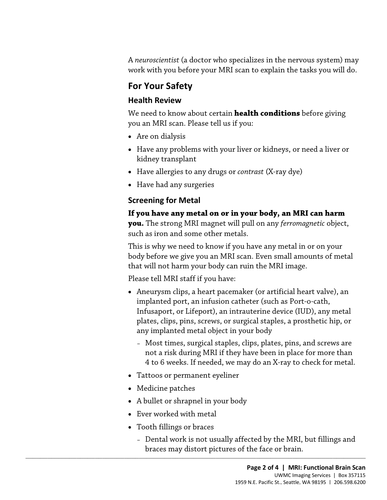A *neuroscientist* (a doctor who specializes in the nervous system) may work with you before your MRI scan to explain the tasks you will do.

## **For Your Safety**

#### **Health Review**

We need to know about certain **health conditions** before giving you an MRI scan. Please tell us if you:

- Are on dialysis
- Have any problems with your liver or kidneys, or need a liver or kidney transplant
- Have allergies to any drugs or *contrast* (X-ray dye)
- Have had any surgeries

## **Screening for Metal**

#### **If you have any metal on or in your body, an MRI can harm**

• Have had any surgeries<br>**Screening for Metal**<br>**If you have any metal on or in your body, an MRI can harm**<br>**you.** The strong MRI magnet will pull on any *ferromagnetic* object,<br>such as iron and some other metals.<br>This is w **you.** The strong MRI magnet will pull on any *ferromagnetic* object, such as iron and some other metals.

This is why we need to know if you have any metal in or on your body before we give you an MRI scan. Even small amounts of metal that will not harm your body can ruin the MRI image.

Please tell MRI staff if you have:

- Aneurysm clips, a heart pacemaker (or artificial heart valve), an implanted port, an infusion catheter (such as Port-o-cath, Infusaport, or Lifeport), an intrauterine device (IUD), any metal plates, clips, pins, screws, or surgical staples, a prosthetic hip, or any implanted metal object in your body
	- Most times, surgical staples, clips, plates, pins, and screws are not a risk during MRI if they have been in place for more than 4 to 6 weeks. If needed, we may do an X-ray to check for metal.
- Tattoos or permanent eyeliner
- Medicine patches
- A bullet or shrapnel in your body
- Ever worked with metal
- Tooth fillings or braces
- $\_$  ,  $\_$  ,  $\_$  ,  $\_$  ,  $\_$  ,  $\_$  ,  $\_$  ,  $\_$  ,  $\_$  ,  $\_$  ,  $\_$  ,  $\_$  ,  $\_$  ,  $\_$  ,  $\_$  ,  $\_$  ,  $\_$  ,  $\_$  ,  $\_$  ,  $\_$  ,  $\_$  ,  $\_$  ,  $\_$  ,  $\_$  ,  $\_$  ,  $\_$  ,  $\_$  ,  $\_$  ,  $\_$  ,  $\_$  ,  $\_$  ,  $\_$  ,  $\_$  ,  $\_$  ,  $\_$  ,  $\_$  ,  $\_$  , – Dental work is not usually affected by the MRI, but fillings and braces may distort pictures of the face or brain.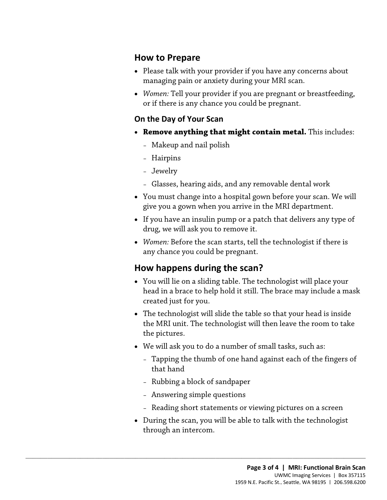#### **How to Prepare**

- Please talk with your provider if you have any concerns about managing pain or anxiety during your MRI scan.
- *Women:* Tell your provider if you are pregnant or breastfeeding, or if there is any chance you could be pregnant.

#### **On the Day of Your Scan**

- • **Remove anything that might contain metal.** This includes:
	- Makeup and nail polish
	- Hairpins
	- Jewelry
	- Glasses, hearing aids, and any removable dental work
- Glasses, hearing aids, and any removable dental work<br>
 You must change into a hospital gown before your scan. We will<br>
give you a gown when you arrive in the MRI department.<br>
 If you have an insulin pump or a patch tha • You must change into a hospital gown before your scan. We will give you a gown when you arrive in the MRI department.
	- If you have an insulin pump or a patch that delivers any type of drug, we will ask you to remove it.
	- *Women:* Before the scan starts, tell the technologist if there is any chance you could be pregnant.

## **How happens during the scan?**

- You will lie on a sliding table. The technologist will place your head in a brace to help hold it still. The brace may include a mask created just for you.
- The technologist will slide the table so that your head is inside the MRI unit. The technologist will then leave the room to take the pictures.
- We will ask you to do a number of small tasks, such as:
	- Tapping the thumb of one hand against each of the fingers of that hand
	- Rubbing a block of sandpaper
	- Answering simple questions

 $\_$  ,  $\_$  ,  $\_$  ,  $\_$  ,  $\_$  ,  $\_$  ,  $\_$  ,  $\_$  ,  $\_$  ,  $\_$  ,  $\_$  ,  $\_$  ,  $\_$  ,  $\_$  ,  $\_$  ,  $\_$  ,  $\_$  ,  $\_$  ,  $\_$  ,  $\_$  ,  $\_$  ,  $\_$  ,  $\_$  ,  $\_$  ,  $\_$  ,  $\_$  ,  $\_$  ,  $\_$  ,  $\_$  ,  $\_$  ,  $\_$  ,  $\_$  ,  $\_$  ,  $\_$  ,  $\_$  ,  $\_$  ,  $\_$  ,

- Reading short statements or viewing pictures on a screen
- During the scan, you will be able to talk with the [technologist](javascript:glossAry()  through an intercom.